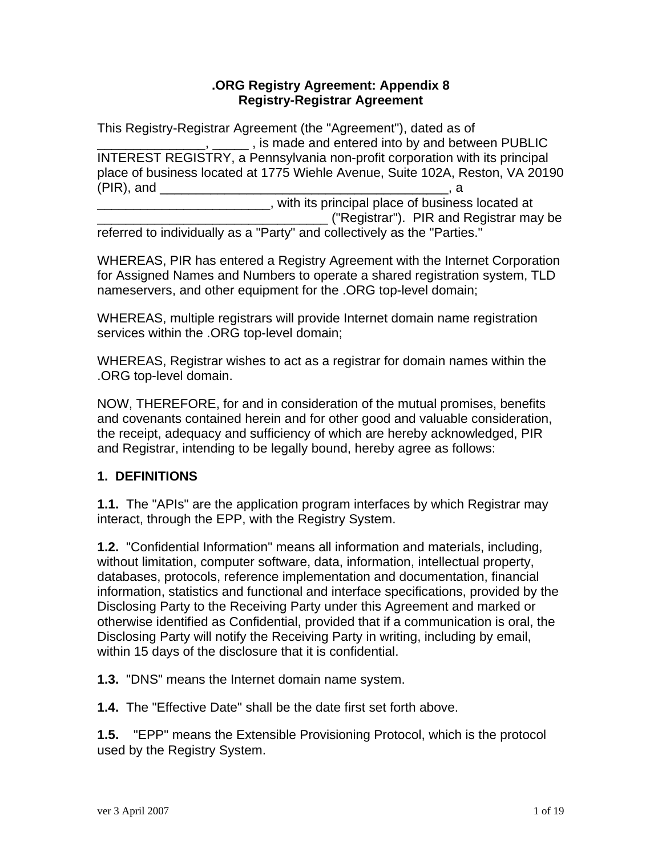#### **.ORG Registry Agreement: Appendix 8 Registry-Registrar Agreement**

This Registry-Registrar Agreement (the "Agreement"), dated as of  $\Box$ ,  $\Box$ , is made and entered into by and between PUBLIC INTEREST REGISTRY, a Pennsylvania non-profit corporation with its principal place of business located at 1775 Wiehle Avenue, Suite 102A, Reston, VA 20190 (PIR), and \_\_\_\_\_\_\_\_\_\_\_\_\_\_\_\_\_\_\_\_\_\_\_\_\_\_\_\_\_\_\_\_\_\_\_\_\_\_\_\_, a

\_\_\_\_\_\_\_\_\_\_\_\_\_\_\_\_\_\_\_\_\_\_\_\_, with its principal place of business located at \_\_\_\_\_\_\_\_\_\_\_\_\_\_\_\_\_\_\_\_\_\_\_\_\_\_\_\_\_\_\_\_ ("Registrar"). PIR and Registrar may be referred to individually as a "Party" and collectively as the "Parties."

WHEREAS, PIR has entered a Registry Agreement with the Internet Corporation for Assigned Names and Numbers to operate a shared registration system, TLD nameservers, and other equipment for the .ORG top-level domain;

WHEREAS, multiple registrars will provide Internet domain name registration services within the .ORG top-level domain;

WHEREAS, Registrar wishes to act as a registrar for domain names within the .ORG top-level domain.

NOW, THEREFORE, for and in consideration of the mutual promises, benefits and covenants contained herein and for other good and valuable consideration, the receipt, adequacy and sufficiency of which are hereby acknowledged, PIR and Registrar, intending to be legally bound, hereby agree as follows:

## **1. DEFINITIONS**

**1.1.** The "APIs" are the application program interfaces by which Registrar may interact, through the EPP, with the Registry System.

**1.2.** "Confidential Information" means all information and materials, including, without limitation, computer software, data, information, intellectual property, databases, protocols, reference implementation and documentation, financial information, statistics and functional and interface specifications, provided by the Disclosing Party to the Receiving Party under this Agreement and marked or otherwise identified as Confidential, provided that if a communication is oral, the Disclosing Party will notify the Receiving Party in writing, including by email, within 15 days of the disclosure that it is confidential.

**1.3.** "DNS" means the Internet domain name system.

**1.4.** The "Effective Date" shall be the date first set forth above.

**1.5.** "EPP" means the Extensible Provisioning Protocol, which is the protocol used by the Registry System.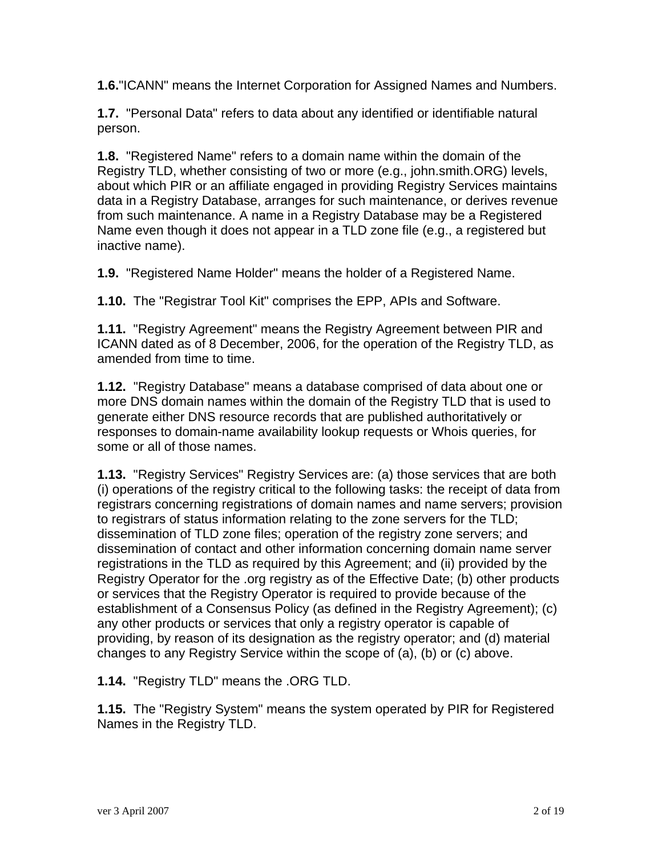**1.6.**"ICANN" means the Internet Corporation for Assigned Names and Numbers.

**1.7.** "Personal Data" refers to data about any identified or identifiable natural person.

**1.8.** "Registered Name" refers to a domain name within the domain of the Registry TLD, whether consisting of two or more (e.g., john.smith.ORG) levels, about which PIR or an affiliate engaged in providing Registry Services maintains data in a Registry Database, arranges for such maintenance, or derives revenue from such maintenance. A name in a Registry Database may be a Registered Name even though it does not appear in a TLD zone file (e.g., a registered but inactive name).

**1.9.** "Registered Name Holder" means the holder of a Registered Name.

**1.10.** The "Registrar Tool Kit" comprises the EPP, APIs and Software.

**1.11.** "Registry Agreement" means the Registry Agreement between PIR and ICANN dated as of 8 December, 2006, for the operation of the Registry TLD, as amended from time to time.

**1.12.** "Registry Database" means a database comprised of data about one or more DNS domain names within the domain of the Registry TLD that is used to generate either DNS resource records that are published authoritatively or responses to domain-name availability lookup requests or Whois queries, for some or all of those names.

**1.13.** "Registry Services" Registry Services are: (a) those services that are both (i) operations of the registry critical to the following tasks: the receipt of data from registrars concerning registrations of domain names and name servers; provision to registrars of status information relating to the zone servers for the TLD; dissemination of TLD zone files; operation of the registry zone servers; and dissemination of contact and other information concerning domain name server registrations in the TLD as required by this Agreement; and (ii) provided by the Registry Operator for the .org registry as of the Effective Date; (b) other products or services that the Registry Operator is required to provide because of the establishment of a Consensus Policy (as defined in the Registry Agreement); (c) any other products or services that only a registry operator is capable of providing, by reason of its designation as the registry operator; and (d) material changes to any Registry Service within the scope of (a), (b) or (c) above.

**1.14.** "Registry TLD" means the .ORG TLD.

**1.15.** The "Registry System" means the system operated by PIR for Registered Names in the Registry TLD.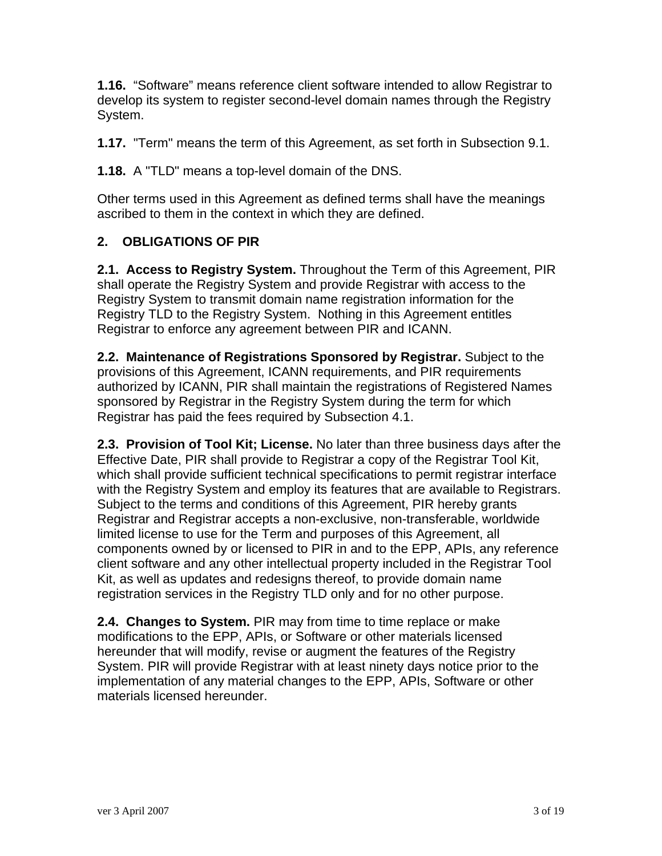**1.16.** "Software" means reference client software intended to allow Registrar to develop its system to register second-level domain names through the Registry System.

**1.17.** "Term" means the term of this Agreement, as set forth in Subsection 9.1.

**1.18.** A "TLD" means a top-level domain of the DNS.

Other terms used in this Agreement as defined terms shall have the meanings ascribed to them in the context in which they are defined.

## **2. OBLIGATIONS OF PIR**

**2.1. Access to Registry System.** Throughout the Term of this Agreement, PIR shall operate the Registry System and provide Registrar with access to the Registry System to transmit domain name registration information for the Registry TLD to the Registry System. Nothing in this Agreement entitles Registrar to enforce any agreement between PIR and ICANN.

**2.2. Maintenance of Registrations Sponsored by Registrar.** Subject to the provisions of this Agreement, ICANN requirements, and PIR requirements authorized by ICANN, PIR shall maintain the registrations of Registered Names sponsored by Registrar in the Registry System during the term for which Registrar has paid the fees required by Subsection 4.1.

**2.3. Provision of Tool Kit; License.** No later than three business days after the Effective Date, PIR shall provide to Registrar a copy of the Registrar Tool Kit, which shall provide sufficient technical specifications to permit registrar interface with the Registry System and employ its features that are available to Registrars. Subject to the terms and conditions of this Agreement, PIR hereby grants Registrar and Registrar accepts a non-exclusive, non-transferable, worldwide limited license to use for the Term and purposes of this Agreement, all components owned by or licensed to PIR in and to the EPP, APIs, any reference client software and any other intellectual property included in the Registrar Tool Kit, as well as updates and redesigns thereof, to provide domain name registration services in the Registry TLD only and for no other purpose.

**2.4. Changes to System.** PIR may from time to time replace or make modifications to the EPP, APIs, or Software or other materials licensed hereunder that will modify, revise or augment the features of the Registry System. PIR will provide Registrar with at least ninety days notice prior to the implementation of any material changes to the EPP, APIs, Software or other materials licensed hereunder.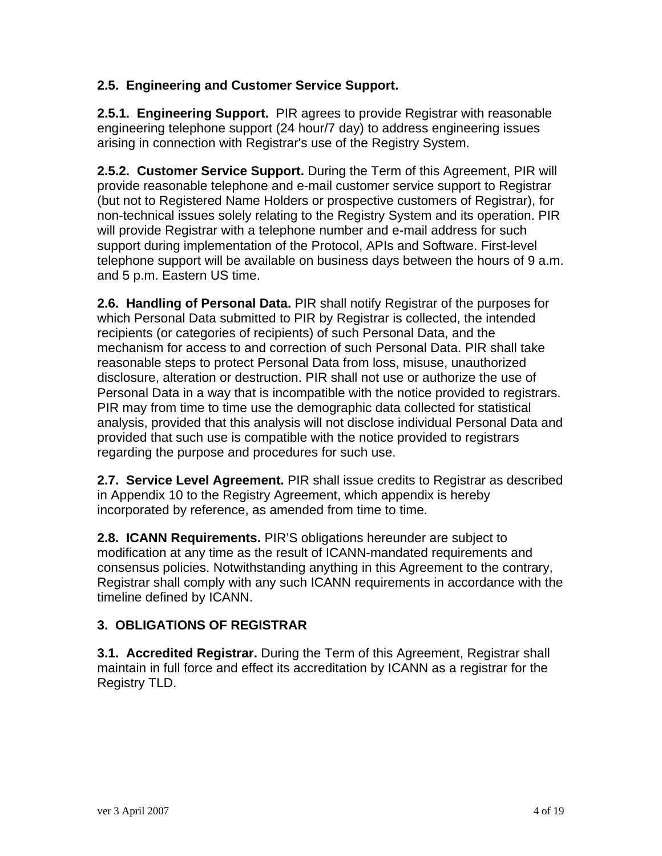#### **2.5. Engineering and Customer Service Support.**

**2.5.1. Engineering Support.** PIR agrees to provide Registrar with reasonable engineering telephone support (24 hour/7 day) to address engineering issues arising in connection with Registrar's use of the Registry System.

**2.5.2. Customer Service Support.** During the Term of this Agreement, PIR will provide reasonable telephone and e-mail customer service support to Registrar (but not to Registered Name Holders or prospective customers of Registrar), for non-technical issues solely relating to the Registry System and its operation. PIR will provide Registrar with a telephone number and e-mail address for such support during implementation of the Protocol, APIs and Software. First-level telephone support will be available on business days between the hours of 9 a.m. and 5 p.m. Eastern US time.

**2.6. Handling of Personal Data.** PIR shall notify Registrar of the purposes for which Personal Data submitted to PIR by Registrar is collected, the intended recipients (or categories of recipients) of such Personal Data, and the mechanism for access to and correction of such Personal Data. PIR shall take reasonable steps to protect Personal Data from loss, misuse, unauthorized disclosure, alteration or destruction. PIR shall not use or authorize the use of Personal Data in a way that is incompatible with the notice provided to registrars. PIR may from time to time use the demographic data collected for statistical analysis, provided that this analysis will not disclose individual Personal Data and provided that such use is compatible with the notice provided to registrars regarding the purpose and procedures for such use.

**2.7. Service Level Agreement.** PIR shall issue credits to Registrar as described in Appendix 10 to the Registry Agreement, which appendix is hereby incorporated by reference, as amended from time to time.

**2.8. ICANN Requirements.** PIR'S obligations hereunder are subject to modification at any time as the result of ICANN-mandated requirements and consensus policies. Notwithstanding anything in this Agreement to the contrary, Registrar shall comply with any such ICANN requirements in accordance with the timeline defined by ICANN.

## **3. OBLIGATIONS OF REGISTRAR**

**3.1. Accredited Registrar.** During the Term of this Agreement, Registrar shall maintain in full force and effect its accreditation by ICANN as a registrar for the Registry TLD.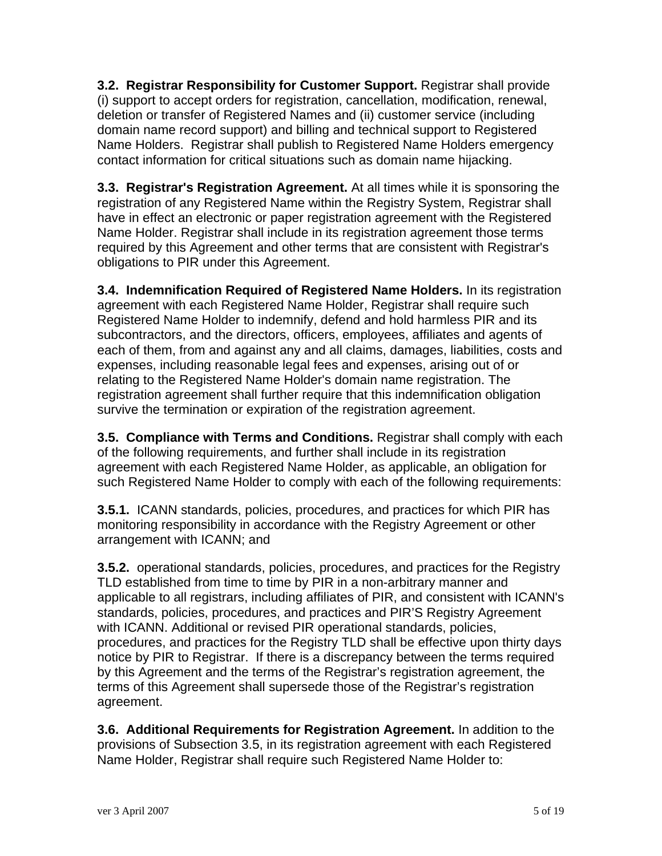**3.2. Registrar Responsibility for Customer Support.** Registrar shall provide (i) support to accept orders for registration, cancellation, modification, renewal, deletion or transfer of Registered Names and (ii) customer service (including domain name record support) and billing and technical support to Registered Name Holders. Registrar shall publish to Registered Name Holders emergency contact information for critical situations such as domain name hijacking.

**3.3. Registrar's Registration Agreement.** At all times while it is sponsoring the registration of any Registered Name within the Registry System, Registrar shall have in effect an electronic or paper registration agreement with the Registered Name Holder. Registrar shall include in its registration agreement those terms required by this Agreement and other terms that are consistent with Registrar's obligations to PIR under this Agreement.

**3.4. Indemnification Required of Registered Name Holders.** In its registration agreement with each Registered Name Holder, Registrar shall require such Registered Name Holder to indemnify, defend and hold harmless PIR and its subcontractors, and the directors, officers, employees, affiliates and agents of each of them, from and against any and all claims, damages, liabilities, costs and expenses, including reasonable legal fees and expenses, arising out of or relating to the Registered Name Holder's domain name registration. The registration agreement shall further require that this indemnification obligation survive the termination or expiration of the registration agreement.

**3.5. Compliance with Terms and Conditions.** Registrar shall comply with each of the following requirements, and further shall include in its registration agreement with each Registered Name Holder, as applicable, an obligation for such Registered Name Holder to comply with each of the following requirements:

**3.5.1.** ICANN standards, policies, procedures, and practices for which PIR has monitoring responsibility in accordance with the Registry Agreement or other arrangement with ICANN; and

**3.5.2.** operational standards, policies, procedures, and practices for the Registry TLD established from time to time by PIR in a non-arbitrary manner and applicable to all registrars, including affiliates of PIR, and consistent with ICANN's standards, policies, procedures, and practices and PIR'S Registry Agreement with ICANN. Additional or revised PIR operational standards, policies, procedures, and practices for the Registry TLD shall be effective upon thirty days notice by PIR to Registrar. If there is a discrepancy between the terms required by this Agreement and the terms of the Registrar's registration agreement, the terms of this Agreement shall supersede those of the Registrar's registration agreement.

**3.6. Additional Requirements for Registration Agreement.** In addition to the provisions of Subsection 3.5, in its registration agreement with each Registered Name Holder, Registrar shall require such Registered Name Holder to: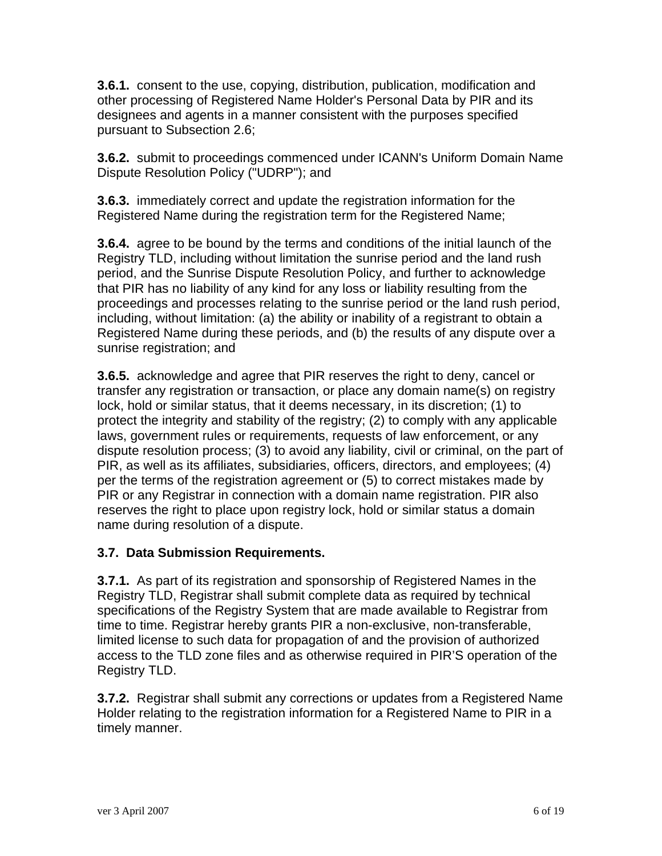**3.6.1.** consent to the use, copying, distribution, publication, modification and other processing of Registered Name Holder's Personal Data by PIR and its designees and agents in a manner consistent with the purposes specified pursuant to Subsection 2.6;

**3.6.2.** submit to proceedings commenced under ICANN's Uniform Domain Name Dispute Resolution Policy ("UDRP"); and

**3.6.3.** immediately correct and update the registration information for the Registered Name during the registration term for the Registered Name;

**3.6.4.** agree to be bound by the terms and conditions of the initial launch of the Registry TLD, including without limitation the sunrise period and the land rush period, and the Sunrise Dispute Resolution Policy, and further to acknowledge that PIR has no liability of any kind for any loss or liability resulting from the proceedings and processes relating to the sunrise period or the land rush period, including, without limitation: (a) the ability or inability of a registrant to obtain a Registered Name during these periods, and (b) the results of any dispute over a sunrise registration; and

**3.6.5.** acknowledge and agree that PIR reserves the right to deny, cancel or transfer any registration or transaction, or place any domain name(s) on registry lock, hold or similar status, that it deems necessary, in its discretion; (1) to protect the integrity and stability of the registry; (2) to comply with any applicable laws, government rules or requirements, requests of law enforcement, or any dispute resolution process; (3) to avoid any liability, civil or criminal, on the part of PIR, as well as its affiliates, subsidiaries, officers, directors, and employees; (4) per the terms of the registration agreement or (5) to correct mistakes made by PIR or any Registrar in connection with a domain name registration. PIR also reserves the right to place upon registry lock, hold or similar status a domain name during resolution of a dispute.

## **3.7. Data Submission Requirements.**

**3.7.1.** As part of its registration and sponsorship of Registered Names in the Registry TLD, Registrar shall submit complete data as required by technical specifications of the Registry System that are made available to Registrar from time to time. Registrar hereby grants PIR a non-exclusive, non-transferable, limited license to such data for propagation of and the provision of authorized access to the TLD zone files and as otherwise required in PIR'S operation of the Registry TLD.

**3.7.2.** Registrar shall submit any corrections or updates from a Registered Name Holder relating to the registration information for a Registered Name to PIR in a timely manner.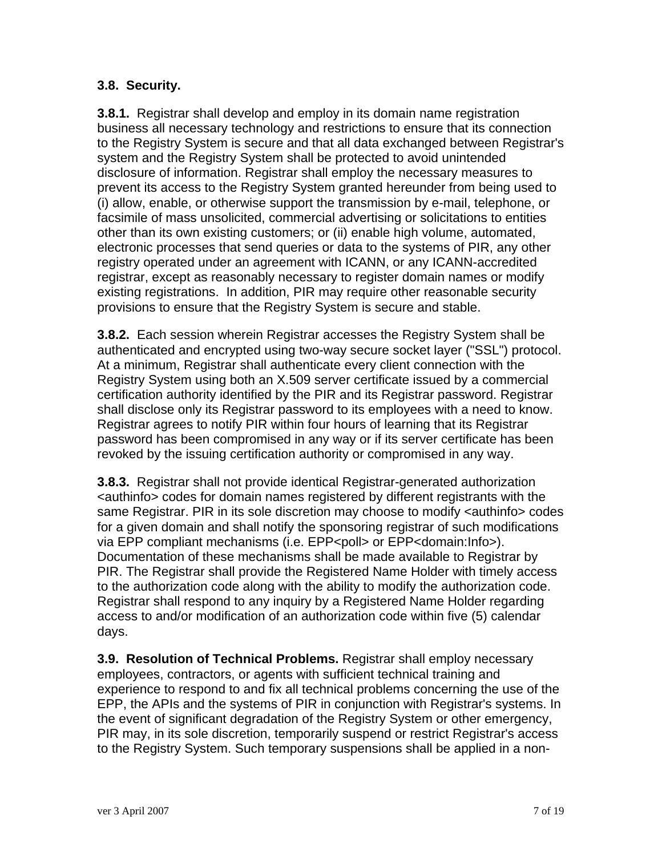## **3.8. Security.**

**3.8.1.** Registrar shall develop and employ in its domain name registration business all necessary technology and restrictions to ensure that its connection to the Registry System is secure and that all data exchanged between Registrar's system and the Registry System shall be protected to avoid unintended disclosure of information. Registrar shall employ the necessary measures to prevent its access to the Registry System granted hereunder from being used to (i) allow, enable, or otherwise support the transmission by e-mail, telephone, or facsimile of mass unsolicited, commercial advertising or solicitations to entities other than its own existing customers; or (ii) enable high volume, automated, electronic processes that send queries or data to the systems of PIR, any other registry operated under an agreement with ICANN, or any ICANN-accredited registrar, except as reasonably necessary to register domain names or modify existing registrations. In addition, PIR may require other reasonable security provisions to ensure that the Registry System is secure and stable.

**3.8.2.** Each session wherein Registrar accesses the Registry System shall be authenticated and encrypted using two-way secure socket layer ("SSL") protocol. At a minimum, Registrar shall authenticate every client connection with the Registry System using both an X.509 server certificate issued by a commercial certification authority identified by the PIR and its Registrar password. Registrar shall disclose only its Registrar password to its employees with a need to know. Registrar agrees to notify PIR within four hours of learning that its Registrar password has been compromised in any way or if its server certificate has been revoked by the issuing certification authority or compromised in any way.

**3.8.3.** Registrar shall not provide identical Registrar-generated authorization <authinfo> codes for domain names registered by different registrants with the same Registrar. PIR in its sole discretion may choose to modify <authinfo> codes for a given domain and shall notify the sponsoring registrar of such modifications via EPP compliant mechanisms (i.e. EPP<poll> or EPP<domain:Info>). Documentation of these mechanisms shall be made available to Registrar by PIR. The Registrar shall provide the Registered Name Holder with timely access to the authorization code along with the ability to modify the authorization code. Registrar shall respond to any inquiry by a Registered Name Holder regarding access to and/or modification of an authorization code within five (5) calendar days.

**3.9. Resolution of Technical Problems.** Registrar shall employ necessary employees, contractors, or agents with sufficient technical training and experience to respond to and fix all technical problems concerning the use of the EPP, the APIs and the systems of PIR in conjunction with Registrar's systems. In the event of significant degradation of the Registry System or other emergency, PIR may, in its sole discretion, temporarily suspend or restrict Registrar's access to the Registry System. Such temporary suspensions shall be applied in a non-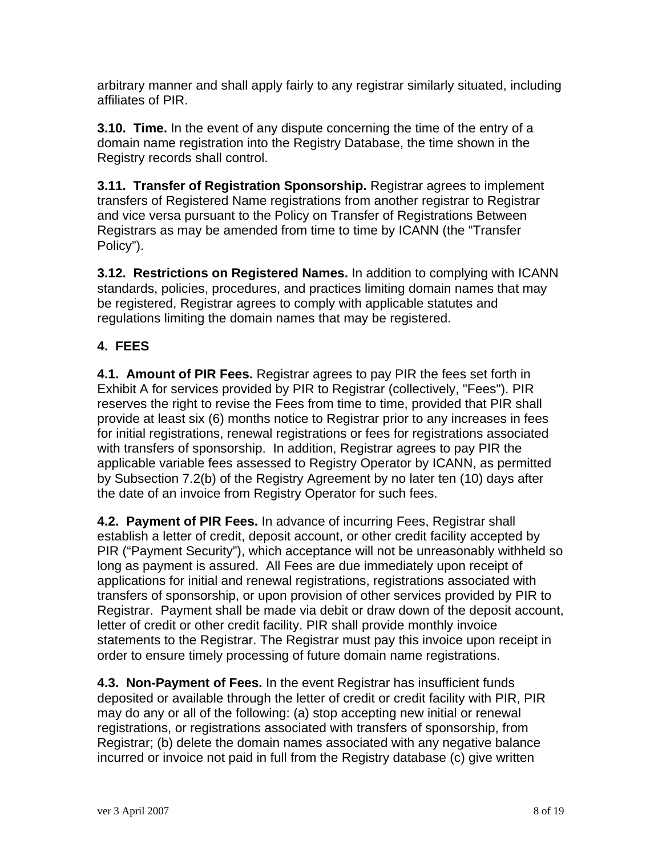arbitrary manner and shall apply fairly to any registrar similarly situated, including affiliates of PIR.

**3.10. Time.** In the event of any dispute concerning the time of the entry of a domain name registration into the Registry Database, the time shown in the Registry records shall control.

**3.11. Transfer of Registration Sponsorship.** Registrar agrees to implement transfers of Registered Name registrations from another registrar to Registrar and vice versa pursuant to the Policy on Transfer of Registrations Between Registrars as may be amended from time to time by ICANN (the "Transfer Policy").

**3.12. Restrictions on Registered Names.** In addition to complying with ICANN standards, policies, procedures, and practices limiting domain names that may be registered, Registrar agrees to comply with applicable statutes and regulations limiting the domain names that may be registered.

# **4. FEES**

**4.1. Amount of PIR Fees.** Registrar agrees to pay PIR the fees set forth in Exhibit A for services provided by PIR to Registrar (collectively, "Fees"). PIR reserves the right to revise the Fees from time to time, provided that PIR shall provide at least six (6) months notice to Registrar prior to any increases in fees for initial registrations, renewal registrations or fees for registrations associated with transfers of sponsorship. In addition, Registrar agrees to pay PIR the applicable variable fees assessed to Registry Operator by ICANN, as permitted by Subsection 7.2(b) of the Registry Agreement by no later ten (10) days after the date of an invoice from Registry Operator for such fees.

**4.2. Payment of PIR Fees.** In advance of incurring Fees, Registrar shall establish a letter of credit, deposit account, or other credit facility accepted by PIR ("Payment Security"), which acceptance will not be unreasonably withheld so long as payment is assured. All Fees are due immediately upon receipt of applications for initial and renewal registrations, registrations associated with transfers of sponsorship, or upon provision of other services provided by PIR to Registrar. Payment shall be made via debit or draw down of the deposit account, letter of credit or other credit facility. PIR shall provide monthly invoice statements to the Registrar. The Registrar must pay this invoice upon receipt in order to ensure timely processing of future domain name registrations.

**4.3. Non-Payment of Fees.** In the event Registrar has insufficient funds deposited or available through the letter of credit or credit facility with PIR, PIR may do any or all of the following: (a) stop accepting new initial or renewal registrations, or registrations associated with transfers of sponsorship, from Registrar; (b) delete the domain names associated with any negative balance incurred or invoice not paid in full from the Registry database (c) give written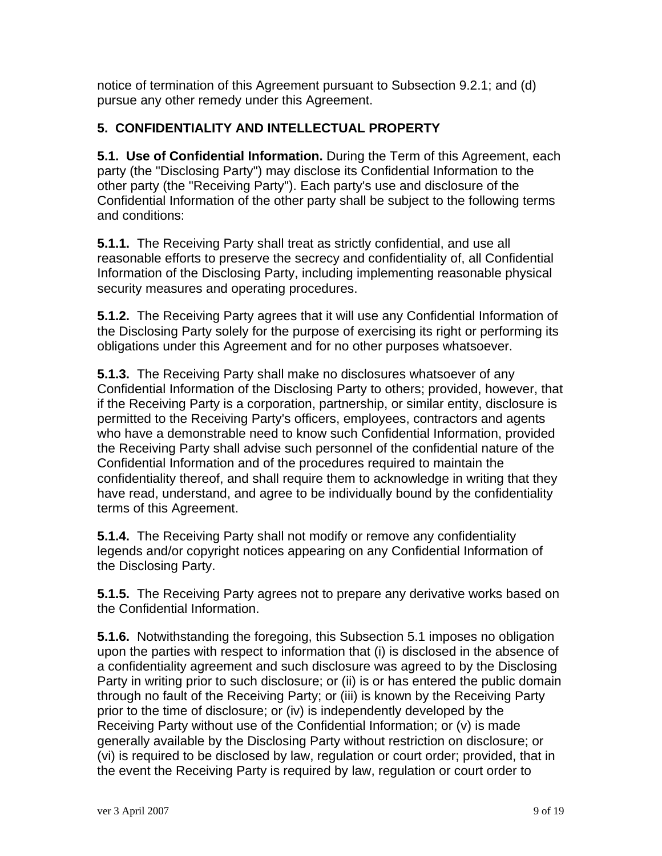notice of termination of this Agreement pursuant to Subsection 9.2.1; and (d) pursue any other remedy under this Agreement.

## **5. CONFIDENTIALITY AND INTELLECTUAL PROPERTY**

**5.1. Use of Confidential Information.** During the Term of this Agreement, each party (the "Disclosing Party") may disclose its Confidential Information to the other party (the "Receiving Party"). Each party's use and disclosure of the Confidential Information of the other party shall be subject to the following terms and conditions:

**5.1.1.** The Receiving Party shall treat as strictly confidential, and use all reasonable efforts to preserve the secrecy and confidentiality of, all Confidential Information of the Disclosing Party, including implementing reasonable physical security measures and operating procedures.

**5.1.2.** The Receiving Party agrees that it will use any Confidential Information of the Disclosing Party solely for the purpose of exercising its right or performing its obligations under this Agreement and for no other purposes whatsoever.

**5.1.3.** The Receiving Party shall make no disclosures whatsoever of any Confidential Information of the Disclosing Party to others; provided, however, that if the Receiving Party is a corporation, partnership, or similar entity, disclosure is permitted to the Receiving Party's officers, employees, contractors and agents who have a demonstrable need to know such Confidential Information, provided the Receiving Party shall advise such personnel of the confidential nature of the Confidential Information and of the procedures required to maintain the confidentiality thereof, and shall require them to acknowledge in writing that they have read, understand, and agree to be individually bound by the confidentiality terms of this Agreement.

**5.1.4.** The Receiving Party shall not modify or remove any confidentiality legends and/or copyright notices appearing on any Confidential Information of the Disclosing Party.

**5.1.5.** The Receiving Party agrees not to prepare any derivative works based on the Confidential Information.

**5.1.6.** Notwithstanding the foregoing, this Subsection 5.1 imposes no obligation upon the parties with respect to information that (i) is disclosed in the absence of a confidentiality agreement and such disclosure was agreed to by the Disclosing Party in writing prior to such disclosure; or (ii) is or has entered the public domain through no fault of the Receiving Party; or (iii) is known by the Receiving Party prior to the time of disclosure; or (iv) is independently developed by the Receiving Party without use of the Confidential Information; or (v) is made generally available by the Disclosing Party without restriction on disclosure; or (vi) is required to be disclosed by law, regulation or court order; provided, that in the event the Receiving Party is required by law, regulation or court order to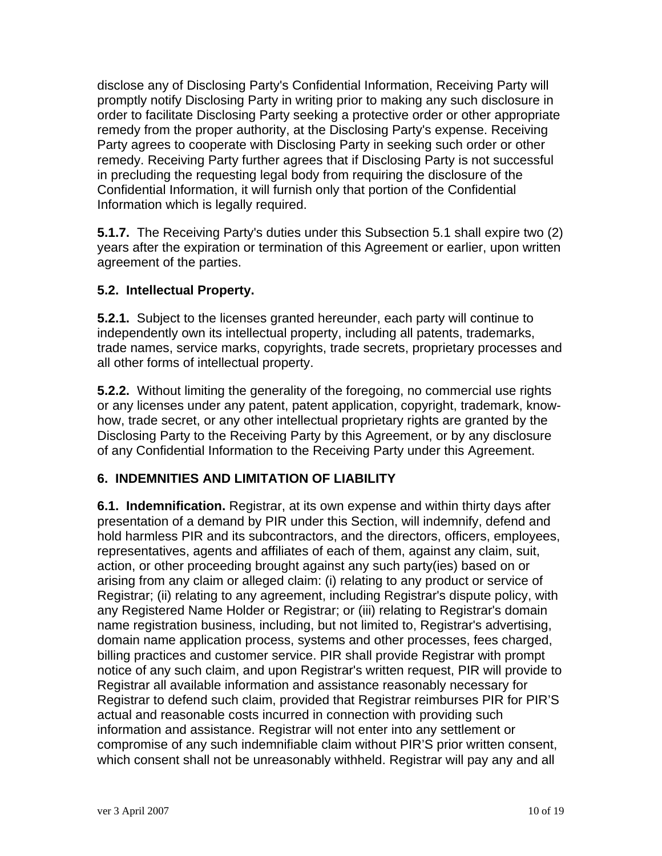disclose any of Disclosing Party's Confidential Information, Receiving Party will promptly notify Disclosing Party in writing prior to making any such disclosure in order to facilitate Disclosing Party seeking a protective order or other appropriate remedy from the proper authority, at the Disclosing Party's expense. Receiving Party agrees to cooperate with Disclosing Party in seeking such order or other remedy. Receiving Party further agrees that if Disclosing Party is not successful in precluding the requesting legal body from requiring the disclosure of the Confidential Information, it will furnish only that portion of the Confidential Information which is legally required.

**5.1.7.** The Receiving Party's duties under this Subsection 5.1 shall expire two (2) years after the expiration or termination of this Agreement or earlier, upon written agreement of the parties.

#### **5.2. Intellectual Property.**

**5.2.1.** Subject to the licenses granted hereunder, each party will continue to independently own its intellectual property, including all patents, trademarks, trade names, service marks, copyrights, trade secrets, proprietary processes and all other forms of intellectual property.

**5.2.2.** Without limiting the generality of the foregoing, no commercial use rights or any licenses under any patent, patent application, copyright, trademark, knowhow, trade secret, or any other intellectual proprietary rights are granted by the Disclosing Party to the Receiving Party by this Agreement, or by any disclosure of any Confidential Information to the Receiving Party under this Agreement.

## **6. INDEMNITIES AND LIMITATION OF LIABILITY**

**6.1. Indemnification.** Registrar, at its own expense and within thirty days after presentation of a demand by PIR under this Section, will indemnify, defend and hold harmless PIR and its subcontractors, and the directors, officers, employees, representatives, agents and affiliates of each of them, against any claim, suit, action, or other proceeding brought against any such party(ies) based on or arising from any claim or alleged claim: (i) relating to any product or service of Registrar; (ii) relating to any agreement, including Registrar's dispute policy, with any Registered Name Holder or Registrar; or (iii) relating to Registrar's domain name registration business, including, but not limited to, Registrar's advertising, domain name application process, systems and other processes, fees charged, billing practices and customer service. PIR shall provide Registrar with prompt notice of any such claim, and upon Registrar's written request, PIR will provide to Registrar all available information and assistance reasonably necessary for Registrar to defend such claim, provided that Registrar reimburses PIR for PIR'S actual and reasonable costs incurred in connection with providing such information and assistance. Registrar will not enter into any settlement or compromise of any such indemnifiable claim without PIR'S prior written consent, which consent shall not be unreasonably withheld. Registrar will pay any and all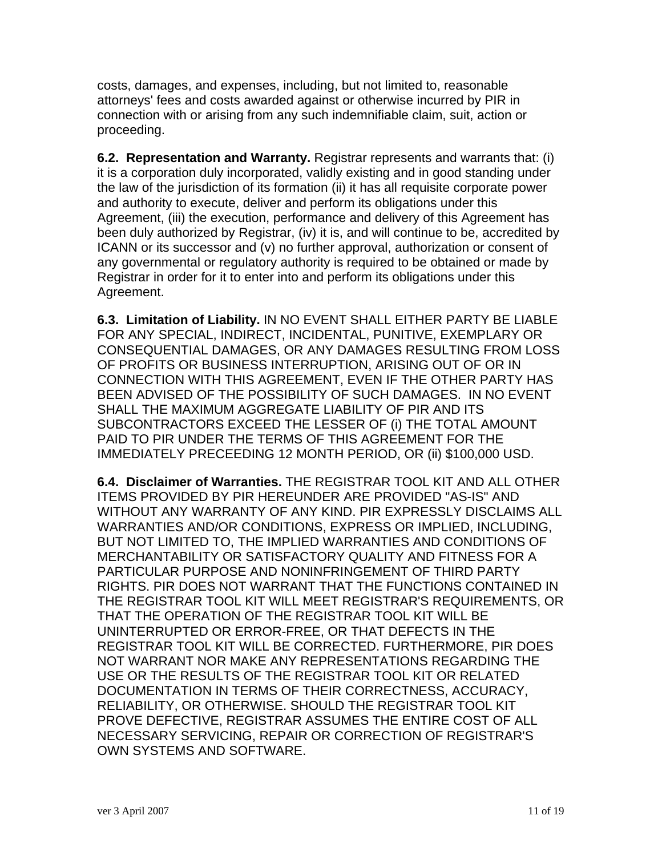costs, damages, and expenses, including, but not limited to, reasonable attorneys' fees and costs awarded against or otherwise incurred by PIR in connection with or arising from any such indemnifiable claim, suit, action or proceeding.

**6.2. Representation and Warranty.** Registrar represents and warrants that: (i) it is a corporation duly incorporated, validly existing and in good standing under the law of the jurisdiction of its formation (ii) it has all requisite corporate power and authority to execute, deliver and perform its obligations under this Agreement, (iii) the execution, performance and delivery of this Agreement has been duly authorized by Registrar, (iv) it is, and will continue to be, accredited by ICANN or its successor and (v) no further approval, authorization or consent of any governmental or regulatory authority is required to be obtained or made by Registrar in order for it to enter into and perform its obligations under this Agreement.

**6.3. Limitation of Liability.** IN NO EVENT SHALL EITHER PARTY BE LIABLE FOR ANY SPECIAL, INDIRECT, INCIDENTAL, PUNITIVE, EXEMPLARY OR CONSEQUENTIAL DAMAGES, OR ANY DAMAGES RESULTING FROM LOSS OF PROFITS OR BUSINESS INTERRUPTION, ARISING OUT OF OR IN CONNECTION WITH THIS AGREEMENT, EVEN IF THE OTHER PARTY HAS BEEN ADVISED OF THE POSSIBILITY OF SUCH DAMAGES. IN NO EVENT SHALL THE MAXIMUM AGGREGATE LIABILITY OF PIR AND ITS SUBCONTRACTORS EXCEED THE LESSER OF (i) THE TOTAL AMOUNT PAID TO PIR UNDER THE TERMS OF THIS AGREEMENT FOR THE IMMEDIATELY PRECEEDING 12 MONTH PERIOD, OR (ii) \$100,000 USD.

**6.4. Disclaimer of Warranties.** THE REGISTRAR TOOL KIT AND ALL OTHER ITEMS PROVIDED BY PIR HEREUNDER ARE PROVIDED "AS-IS" AND WITHOUT ANY WARRANTY OF ANY KIND. PIR EXPRESSLY DISCLAIMS ALL WARRANTIES AND/OR CONDITIONS, EXPRESS OR IMPLIED, INCLUDING, BUT NOT LIMITED TO, THE IMPLIED WARRANTIES AND CONDITIONS OF MERCHANTABILITY OR SATISFACTORY QUALITY AND FITNESS FOR A PARTICULAR PURPOSE AND NONINFRINGEMENT OF THIRD PARTY RIGHTS. PIR DOES NOT WARRANT THAT THE FUNCTIONS CONTAINED IN THE REGISTRAR TOOL KIT WILL MEET REGISTRAR'S REQUIREMENTS, OR THAT THE OPERATION OF THE REGISTRAR TOOL KIT WILL BE UNINTERRUPTED OR ERROR-FREE, OR THAT DEFECTS IN THE REGISTRAR TOOL KIT WILL BE CORRECTED. FURTHERMORE, PIR DOES NOT WARRANT NOR MAKE ANY REPRESENTATIONS REGARDING THE USE OR THE RESULTS OF THE REGISTRAR TOOL KIT OR RELATED DOCUMENTATION IN TERMS OF THEIR CORRECTNESS, ACCURACY, RELIABILITY, OR OTHERWISE. SHOULD THE REGISTRAR TOOL KIT PROVE DEFECTIVE, REGISTRAR ASSUMES THE ENTIRE COST OF ALL NECESSARY SERVICING, REPAIR OR CORRECTION OF REGISTRAR'S OWN SYSTEMS AND SOFTWARE.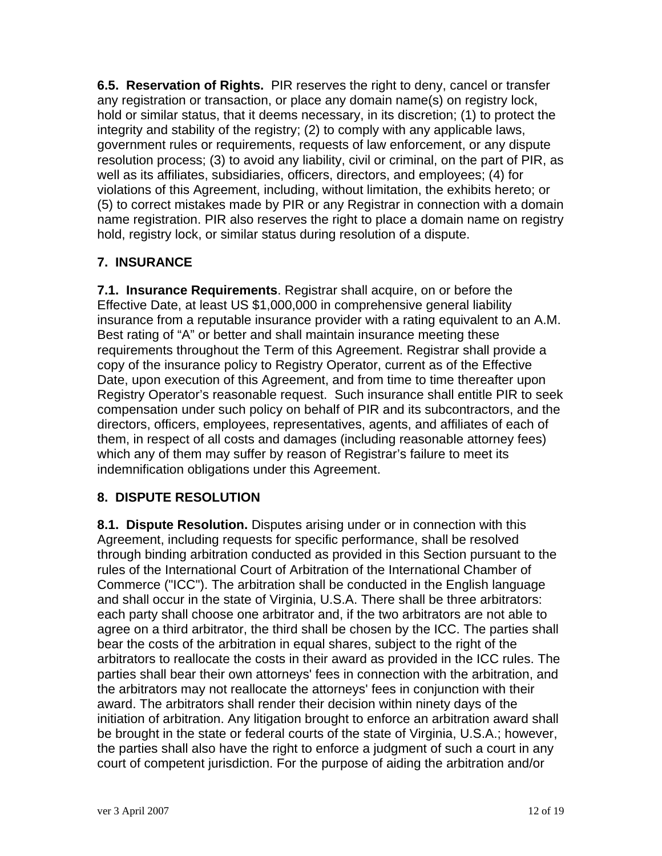**6.5. Reservation of Rights.** PIR reserves the right to deny, cancel or transfer any registration or transaction, or place any domain name(s) on registry lock, hold or similar status, that it deems necessary, in its discretion; (1) to protect the integrity and stability of the registry; (2) to comply with any applicable laws, government rules or requirements, requests of law enforcement, or any dispute resolution process; (3) to avoid any liability, civil or criminal, on the part of PIR, as well as its affiliates, subsidiaries, officers, directors, and employees; (4) for violations of this Agreement, including, without limitation, the exhibits hereto; or (5) to correct mistakes made by PIR or any Registrar in connection with a domain name registration. PIR also reserves the right to place a domain name on registry hold, registry lock, or similar status during resolution of a dispute.

# **7. INSURANCE**

**7.1. Insurance Requirements**. Registrar shall acquire, on or before the Effective Date, at least US \$1,000,000 in comprehensive general liability insurance from a reputable insurance provider with a rating equivalent to an A.M. Best rating of "A" or better and shall maintain insurance meeting these requirements throughout the Term of this Agreement. Registrar shall provide a copy of the insurance policy to Registry Operator, current as of the Effective Date, upon execution of this Agreement, and from time to time thereafter upon Registry Operator's reasonable request. Such insurance shall entitle PIR to seek compensation under such policy on behalf of PIR and its subcontractors, and the directors, officers, employees, representatives, agents, and affiliates of each of them, in respect of all costs and damages (including reasonable attorney fees) which any of them may suffer by reason of Registrar's failure to meet its indemnification obligations under this Agreement.

## **8. DISPUTE RESOLUTION**

**8.1. Dispute Resolution.** Disputes arising under or in connection with this Agreement, including requests for specific performance, shall be resolved through binding arbitration conducted as provided in this Section pursuant to the rules of the International Court of Arbitration of the International Chamber of Commerce ("ICC"). The arbitration shall be conducted in the English language and shall occur in the state of Virginia, U.S.A. There shall be three arbitrators: each party shall choose one arbitrator and, if the two arbitrators are not able to agree on a third arbitrator, the third shall be chosen by the ICC. The parties shall bear the costs of the arbitration in equal shares, subject to the right of the arbitrators to reallocate the costs in their award as provided in the ICC rules. The parties shall bear their own attorneys' fees in connection with the arbitration, and the arbitrators may not reallocate the attorneys' fees in conjunction with their award. The arbitrators shall render their decision within ninety days of the initiation of arbitration. Any litigation brought to enforce an arbitration award shall be brought in the state or federal courts of the state of Virginia, U.S.A.; however, the parties shall also have the right to enforce a judgment of such a court in any court of competent jurisdiction. For the purpose of aiding the arbitration and/or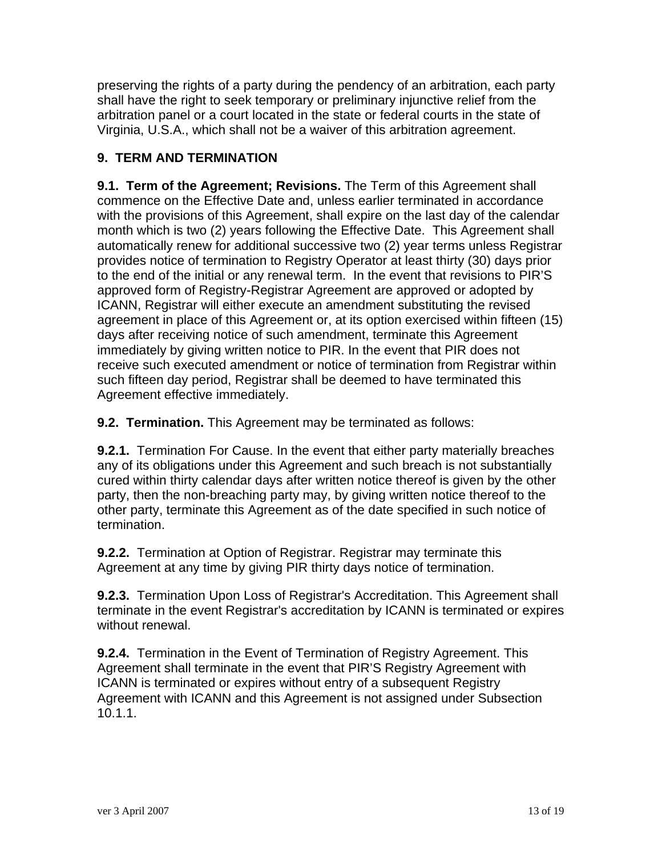preserving the rights of a party during the pendency of an arbitration, each party shall have the right to seek temporary or preliminary injunctive relief from the arbitration panel or a court located in the state or federal courts in the state of Virginia, U.S.A., which shall not be a waiver of this arbitration agreement.

# **9. TERM AND TERMINATION**

**9.1. Term of the Agreement; Revisions.** The Term of this Agreement shall commence on the Effective Date and, unless earlier terminated in accordance with the provisions of this Agreement, shall expire on the last day of the calendar month which is two (2) years following the Effective Date. This Agreement shall automatically renew for additional successive two (2) year terms unless Registrar provides notice of termination to Registry Operator at least thirty (30) days prior to the end of the initial or any renewal term. In the event that revisions to PIR'S approved form of Registry-Registrar Agreement are approved or adopted by ICANN, Registrar will either execute an amendment substituting the revised agreement in place of this Agreement or, at its option exercised within fifteen (15) days after receiving notice of such amendment, terminate this Agreement immediately by giving written notice to PIR. In the event that PIR does not receive such executed amendment or notice of termination from Registrar within such fifteen day period, Registrar shall be deemed to have terminated this Agreement effective immediately.

**9.2. Termination.** This Agreement may be terminated as follows:

**9.2.1.** Termination For Cause. In the event that either party materially breaches any of its obligations under this Agreement and such breach is not substantially cured within thirty calendar days after written notice thereof is given by the other party, then the non-breaching party may, by giving written notice thereof to the other party, terminate this Agreement as of the date specified in such notice of termination.

**9.2.2.** Termination at Option of Registrar. Registrar may terminate this Agreement at any time by giving PIR thirty days notice of termination.

**9.2.3.** Termination Upon Loss of Registrar's Accreditation. This Agreement shall terminate in the event Registrar's accreditation by ICANN is terminated or expires without renewal.

**9.2.4.** Termination in the Event of Termination of Registry Agreement. This Agreement shall terminate in the event that PIR'S Registry Agreement with ICANN is terminated or expires without entry of a subsequent Registry Agreement with ICANN and this Agreement is not assigned under Subsection 10.1.1.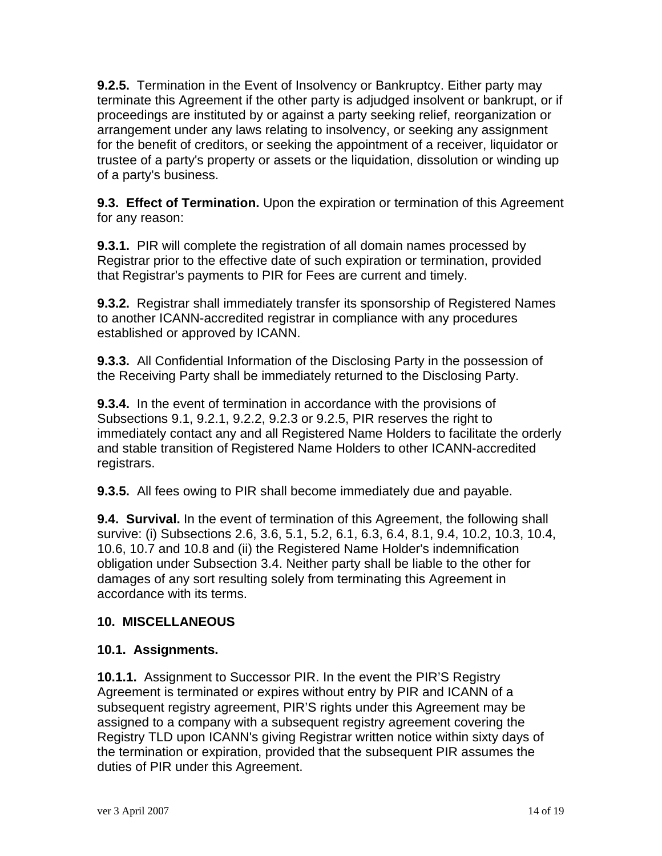**9.2.5.** Termination in the Event of Insolvency or Bankruptcy. Either party may terminate this Agreement if the other party is adjudged insolvent or bankrupt, or if proceedings are instituted by or against a party seeking relief, reorganization or arrangement under any laws relating to insolvency, or seeking any assignment for the benefit of creditors, or seeking the appointment of a receiver, liquidator or trustee of a party's property or assets or the liquidation, dissolution or winding up of a party's business.

**9.3. Effect of Termination.** Upon the expiration or termination of this Agreement for any reason:

**9.3.1.** PIR will complete the registration of all domain names processed by Registrar prior to the effective date of such expiration or termination, provided that Registrar's payments to PIR for Fees are current and timely.

**9.3.2.** Registrar shall immediately transfer its sponsorship of Registered Names to another ICANN-accredited registrar in compliance with any procedures established or approved by ICANN.

**9.3.3.** All Confidential Information of the Disclosing Party in the possession of the Receiving Party shall be immediately returned to the Disclosing Party.

**9.3.4.** In the event of termination in accordance with the provisions of Subsections 9.1, 9.2.1, 9.2.2, 9.2.3 or 9.2.5, PIR reserves the right to immediately contact any and all Registered Name Holders to facilitate the orderly and stable transition of Registered Name Holders to other ICANN-accredited registrars.

**9.3.5.** All fees owing to PIR shall become immediately due and payable.

**9.4. Survival.** In the event of termination of this Agreement, the following shall survive: (i) Subsections 2.6, 3.6, 5.1, 5.2, 6.1, 6.3, 6.4, 8.1, 9.4, 10.2, 10.3, 10.4, 10.6, 10.7 and 10.8 and (ii) the Registered Name Holder's indemnification obligation under Subsection 3.4. Neither party shall be liable to the other for damages of any sort resulting solely from terminating this Agreement in accordance with its terms.

## **10. MISCELLANEOUS**

## **10.1. Assignments.**

**10.1.1.** Assignment to Successor PIR. In the event the PIR'S Registry Agreement is terminated or expires without entry by PIR and ICANN of a subsequent registry agreement, PIR'S rights under this Agreement may be assigned to a company with a subsequent registry agreement covering the Registry TLD upon ICANN's giving Registrar written notice within sixty days of the termination or expiration, provided that the subsequent PIR assumes the duties of PIR under this Agreement.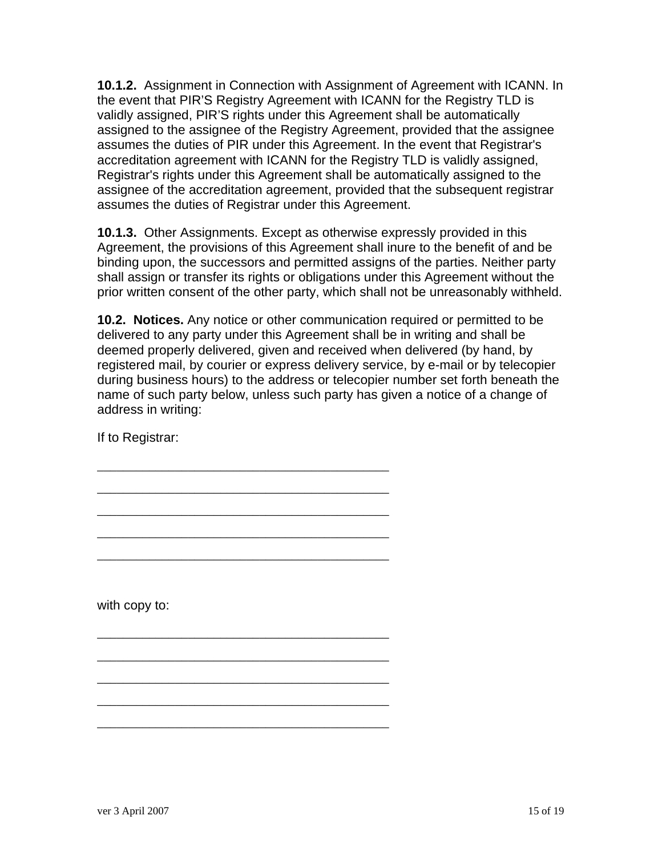**10.1.2.** Assignment in Connection with Assignment of Agreement with ICANN. In the event that PIR'S Registry Agreement with ICANN for the Registry TLD is validly assigned, PIR'S rights under this Agreement shall be automatically assigned to the assignee of the Registry Agreement, provided that the assignee assumes the duties of PIR under this Agreement. In the event that Registrar's accreditation agreement with ICANN for the Registry TLD is validly assigned, Registrar's rights under this Agreement shall be automatically assigned to the assignee of the accreditation agreement, provided that the subsequent registrar assumes the duties of Registrar under this Agreement.

**10.1.3.** Other Assignments. Except as otherwise expressly provided in this Agreement, the provisions of this Agreement shall inure to the benefit of and be binding upon, the successors and permitted assigns of the parties. Neither party shall assign or transfer its rights or obligations under this Agreement without the prior written consent of the other party, which shall not be unreasonably withheld.

**10.2. Notices.** Any notice or other communication required or permitted to be delivered to any party under this Agreement shall be in writing and shall be deemed properly delivered, given and received when delivered (by hand, by registered mail, by courier or express delivery service, by e-mail or by telecopier during business hours) to the address or telecopier number set forth beneath the name of such party below, unless such party has given a notice of a change of address in writing:

\_\_\_\_\_\_\_\_\_\_\_\_\_\_\_\_\_\_\_\_\_\_\_\_\_\_\_\_\_\_\_\_\_\_\_\_\_\_\_\_\_\_\_\_\_

\_\_\_\_\_\_\_\_\_\_\_\_\_\_\_\_\_\_\_\_\_\_\_\_\_\_\_\_\_\_\_\_\_\_\_\_\_\_\_\_\_\_\_\_\_

\_\_\_\_\_\_\_\_\_\_\_\_\_\_\_\_\_\_\_\_\_\_\_\_\_\_\_\_\_\_\_\_\_\_\_\_\_\_\_\_\_\_\_\_\_

\_\_\_\_\_\_\_\_\_\_\_\_\_\_\_\_\_\_\_\_\_\_\_\_\_\_\_\_\_\_\_\_\_\_\_\_\_\_\_\_\_\_\_\_\_

\_\_\_\_\_\_\_\_\_\_\_\_\_\_\_\_\_\_\_\_\_\_\_\_\_\_\_\_\_\_\_\_\_\_\_\_\_\_\_\_\_\_\_\_\_

\_\_\_\_\_\_\_\_\_\_\_\_\_\_\_\_\_\_\_\_\_\_\_\_\_\_\_\_\_\_\_\_\_\_\_\_\_\_\_\_\_\_\_\_\_

\_\_\_\_\_\_\_\_\_\_\_\_\_\_\_\_\_\_\_\_\_\_\_\_\_\_\_\_\_\_\_\_\_\_\_\_\_\_\_\_\_\_\_\_\_

\_\_\_\_\_\_\_\_\_\_\_\_\_\_\_\_\_\_\_\_\_\_\_\_\_\_\_\_\_\_\_\_\_\_\_\_\_\_\_\_\_\_\_\_\_

\_\_\_\_\_\_\_\_\_\_\_\_\_\_\_\_\_\_\_\_\_\_\_\_\_\_\_\_\_\_\_\_\_\_\_\_\_\_\_\_\_\_\_\_\_

\_\_\_\_\_\_\_\_\_\_\_\_\_\_\_\_\_\_\_\_\_\_\_\_\_\_\_\_\_\_\_\_\_\_\_\_\_\_\_\_\_\_\_\_\_

If to Registrar:

with copy to: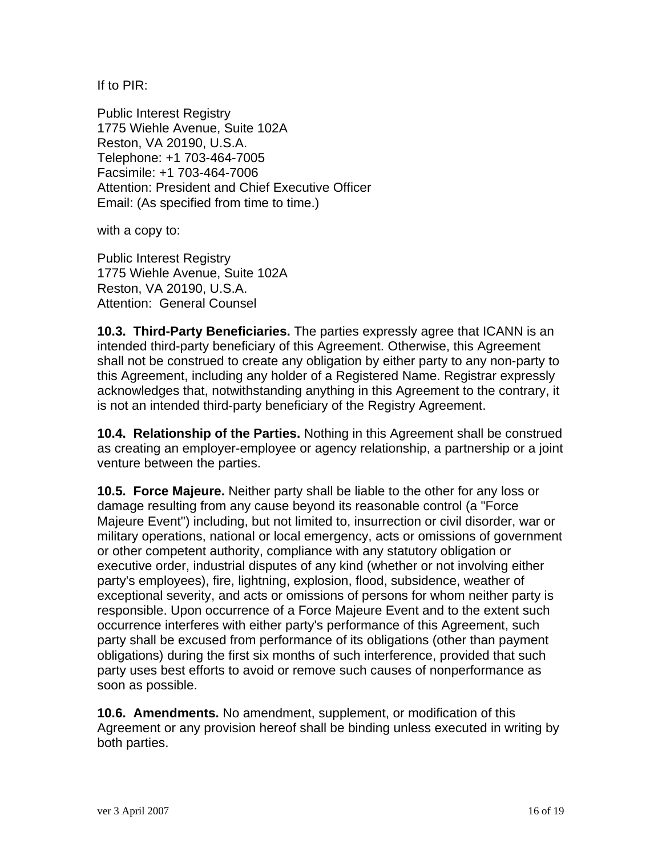If to PIR:

Public Interest Registry 1775 Wiehle Avenue, Suite 102A Reston, VA 20190, U.S.A. Telephone: +1 703-464-7005 Facsimile: +1 703-464-7006 Attention: President and Chief Executive Officer Email: (As specified from time to time.)

with a copy to:

Public Interest Registry 1775 Wiehle Avenue, Suite 102A Reston, VA 20190, U.S.A. Attention: General Counsel

**10.3. Third-Party Beneficiaries.** The parties expressly agree that ICANN is an intended third-party beneficiary of this Agreement. Otherwise, this Agreement shall not be construed to create any obligation by either party to any non-party to this Agreement, including any holder of a Registered Name. Registrar expressly acknowledges that, notwithstanding anything in this Agreement to the contrary, it is not an intended third-party beneficiary of the Registry Agreement.

**10.4. Relationship of the Parties.** Nothing in this Agreement shall be construed as creating an employer-employee or agency relationship, a partnership or a joint venture between the parties.

**10.5. Force Majeure.** Neither party shall be liable to the other for any loss or damage resulting from any cause beyond its reasonable control (a "Force Majeure Event") including, but not limited to, insurrection or civil disorder, war or military operations, national or local emergency, acts or omissions of government or other competent authority, compliance with any statutory obligation or executive order, industrial disputes of any kind (whether or not involving either party's employees), fire, lightning, explosion, flood, subsidence, weather of exceptional severity, and acts or omissions of persons for whom neither party is responsible. Upon occurrence of a Force Majeure Event and to the extent such occurrence interferes with either party's performance of this Agreement, such party shall be excused from performance of its obligations (other than payment obligations) during the first six months of such interference, provided that such party uses best efforts to avoid or remove such causes of nonperformance as soon as possible.

**10.6. Amendments.** No amendment, supplement, or modification of this Agreement or any provision hereof shall be binding unless executed in writing by both parties.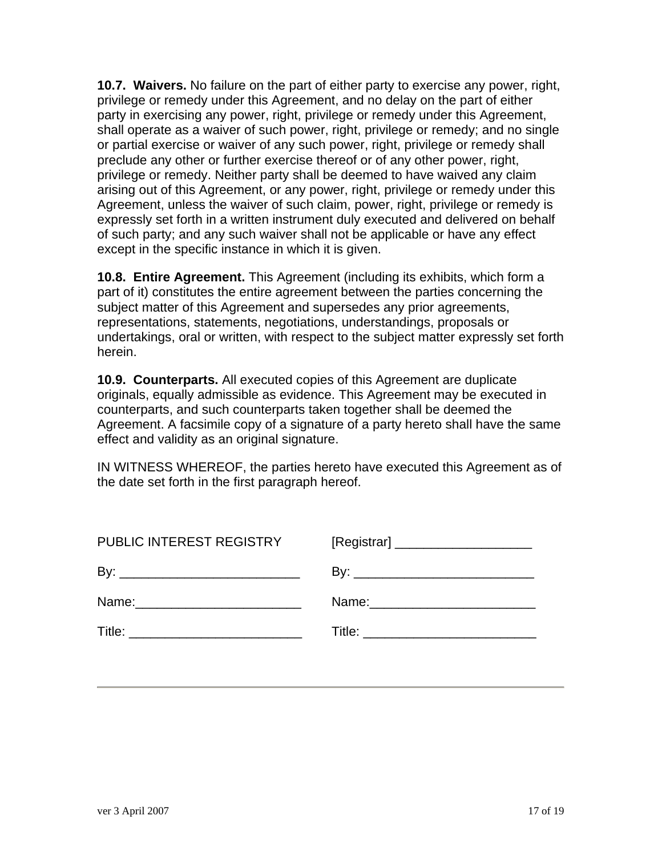**10.7. Waivers.** No failure on the part of either party to exercise any power, right, privilege or remedy under this Agreement, and no delay on the part of either party in exercising any power, right, privilege or remedy under this Agreement, shall operate as a waiver of such power, right, privilege or remedy; and no single or partial exercise or waiver of any such power, right, privilege or remedy shall preclude any other or further exercise thereof or of any other power, right, privilege or remedy. Neither party shall be deemed to have waived any claim arising out of this Agreement, or any power, right, privilege or remedy under this Agreement, unless the waiver of such claim, power, right, privilege or remedy is expressly set forth in a written instrument duly executed and delivered on behalf of such party; and any such waiver shall not be applicable or have any effect except in the specific instance in which it is given.

**10.8. Entire Agreement.** This Agreement (including its exhibits, which form a part of it) constitutes the entire agreement between the parties concerning the subject matter of this Agreement and supersedes any prior agreements, representations, statements, negotiations, understandings, proposals or undertakings, oral or written, with respect to the subject matter expressly set forth herein.

**10.9. Counterparts.** All executed copies of this Agreement are duplicate originals, equally admissible as evidence. This Agreement may be executed in counterparts, and such counterparts taken together shall be deemed the Agreement. A facsimile copy of a signature of a party hereto shall have the same effect and validity as an original signature.

IN WITNESS WHEREOF, the parties hereto have executed this Agreement as of the date set forth in the first paragraph hereof.

| PUBLIC INTEREST REGISTRY |  |
|--------------------------|--|
|                          |  |
|                          |  |
|                          |  |
|                          |  |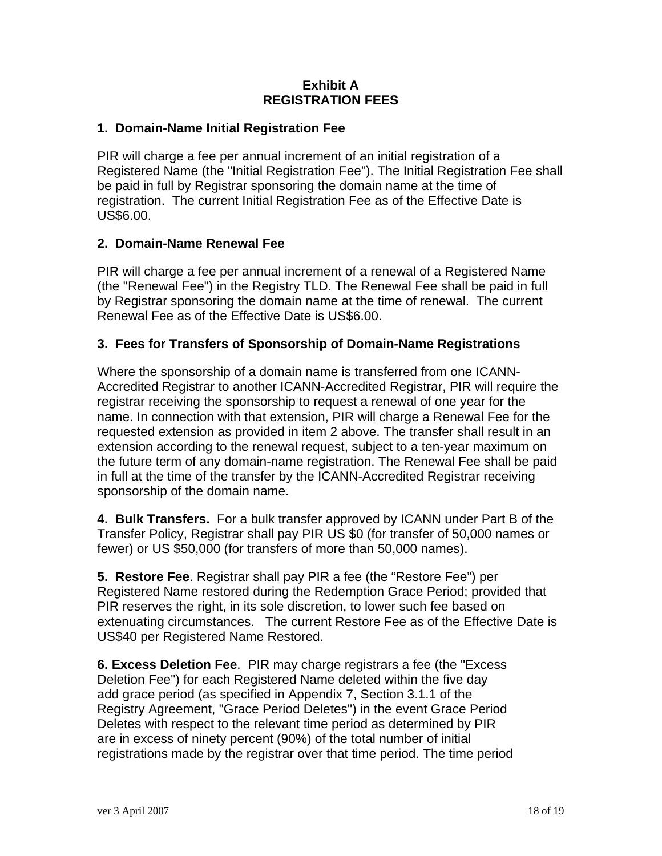#### **Exhibit A REGISTRATION FEES**

#### **1. Domain-Name Initial Registration Fee**

PIR will charge a fee per annual increment of an initial registration of a Registered Name (the "Initial Registration Fee"). The Initial Registration Fee shall be paid in full by Registrar sponsoring the domain name at the time of registration. The current Initial Registration Fee as of the Effective Date is US\$6.00.

#### **2. Domain-Name Renewal Fee**

PIR will charge a fee per annual increment of a renewal of a Registered Name (the "Renewal Fee") in the Registry TLD. The Renewal Fee shall be paid in full by Registrar sponsoring the domain name at the time of renewal. The current Renewal Fee as of the Effective Date is US\$6.00.

#### **3. Fees for Transfers of Sponsorship of Domain-Name Registrations**

Where the sponsorship of a domain name is transferred from one ICANN-Accredited Registrar to another ICANN-Accredited Registrar, PIR will require the registrar receiving the sponsorship to request a renewal of one year for the name. In connection with that extension, PIR will charge a Renewal Fee for the requested extension as provided in item 2 above. The transfer shall result in an extension according to the renewal request, subject to a ten-year maximum on the future term of any domain-name registration. The Renewal Fee shall be paid in full at the time of the transfer by the ICANN-Accredited Registrar receiving sponsorship of the domain name.

**4. Bulk Transfers.** For a bulk transfer approved by ICANN under Part B of the Transfer Policy, Registrar shall pay PIR US \$0 (for transfer of 50,000 names or fewer) or US \$50,000 (for transfers of more than 50,000 names).

**5. Restore Fee**. Registrar shall pay PIR a fee (the "Restore Fee") per Registered Name restored during the Redemption Grace Period; provided that PIR reserves the right, in its sole discretion, to lower such fee based on extenuating circumstances. The current Restore Fee as of the Effective Date is US\$40 per Registered Name Restored.

**6. Excess Deletion Fee**. PIR may charge registrars a fee (the "Excess Deletion Fee") for each Registered Name deleted within the five day add grace period (as specified in Appendix 7, Section 3.1.1 of the Registry Agreement, "Grace Period Deletes") in the event Grace Period Deletes with respect to the relevant time period as determined by PIR are in excess of ninety percent (90%) of the total number of initial registrations made by the registrar over that time period. The time period